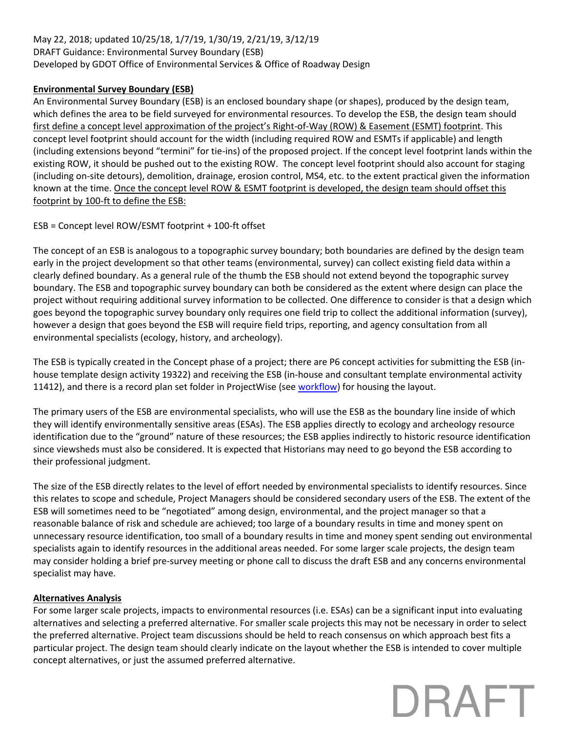## May 22, 2018; updated 10/25/18, 1/7/19, 1/30/19, 2/21/19, 3/12/19 DRAFT Guidance: Environmental Survey Boundary (ESB) Developed by GDOT Office of Environmental Services & Office of Roadway Design

## **Environmental Survey Boundary (ESB)**

An Environmental Survey Boundary (ESB) is an enclosed boundary shape (or shapes), produced by the design team, which defines the area to be field surveyed for environmental resources. To develop the ESB, the design team should first define a concept level approximation of the project's Right-of-Way (ROW) & Easement (ESMT) footprint. This concept level footprint should account for the width (including required ROW and ESMTs if applicable) and length (including extensions beyond "termini" for tie-ins) of the proposed project. If the concept level footprint lands within the existing ROW, it should be pushed out to the existing ROW. The concept level footprint should also account for staging (including on-site detours), demolition, drainage, erosion control, MS4, etc. to the extent practical given the information known at the time. Once the concept level ROW & ESMT footprint is developed, the design team should offset this footprint by 100-ft to define the ESB:

ESB = Concept level ROW/ESMT footprint + 100-ft offset

The concept of an ESB is analogous to a topographic survey boundary; both boundaries are defined by the design team early in the project development so that other teams (environmental, survey) can collect existing field data within a clearly defined boundary. As a general rule of the thumb the ESB should not extend beyond the topographic survey boundary. The ESB and topographic survey boundary can both be considered as the extent where design can place the project without requiring additional survey information to be collected. One difference to consider is that a design which goes beyond the topographic survey boundary only requires one field trip to collect the additional information (survey), however a design that goes beyond the ESB will require field trips, reporting, and agency consultation from all environmental specialists (ecology, history, and archeology).

The ESB is typically created in the Concept phase of a project; there are P6 concept activities for submitting the ESB (inhouse template design activity 19322) and receiving the ESB (in-house and consultant template environmental activity 11412), and there is a record plan set folder in ProjectWise (se[e workflow\)](http://www.dot.ga.gov/PartnerSmart/DesignSoftware/ProjectWise/RecordPlanSetProcess.pdf) for housing the layout.

The primary users of the ESB are environmental specialists, who will use the ESB as the boundary line inside of which they will identify environmentally sensitive areas (ESAs). The ESB applies directly to ecology and archeology resource identification due to the "ground" nature of these resources; the ESB applies indirectly to historic resource identification since viewsheds must also be considered. It is expected that Historians may need to go beyond the ESB according to their professional judgment.

The size of the ESB directly relates to the level of effort needed by environmental specialists to identify resources. Since this relates to scope and schedule, Project Managers should be considered secondary users of the ESB. The extent of the ESB will sometimes need to be "negotiated" among design, environmental, and the project manager so that a reasonable balance of risk and schedule are achieved; too large of a boundary results in time and money spent on unnecessary resource identification, too small of a boundary results in time and money spent sending out environmental specialists again to identify resources in the additional areas needed. For some larger scale projects, the design team may consider holding a brief pre-survey meeting or phone call to discuss the draft ESB and any concerns environmental specialist may have.

### **Alternatives Analysis**

For some larger scale projects, impacts to environmental resources (i.e. ESAs) can be a significant input into evaluating alternatives and selecting a preferred alternative. For smaller scale projects this may not be necessary in order to select the preferred alternative. Project team discussions should be held to reach consensus on which approach best fits a particular project. The design team should clearly indicate on the layout whether the ESB is intended to cover multiple concept alternatives, or just the assumed preferred alternative.

# DRAFT